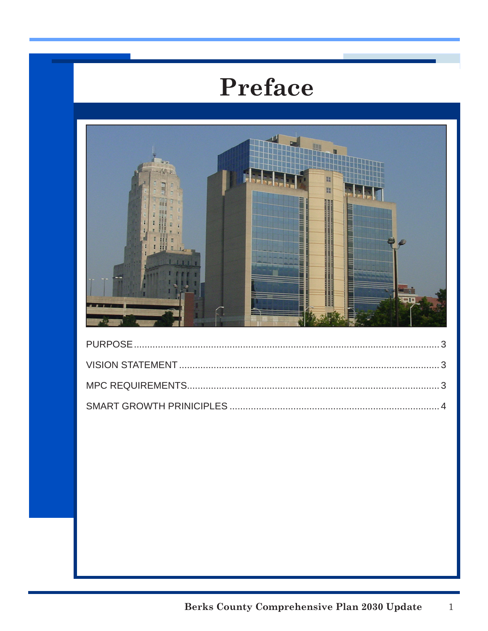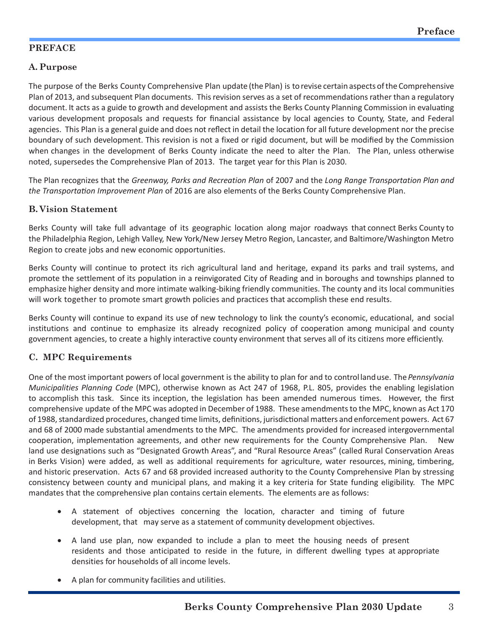# **PREFACE**

## **A. Purpose**

The purpose of the Berks County Comprehensive Plan update (the Plan) is to revise certain aspects of the Comprehensive Plan of 2013, and subsequent Plan documents. This revision serves as a set of recommendations rather than a regulatory document. It acts as a guide to growth and development and assists the Berks County Planning Commission in evaluating various development proposals and requests for financial assistance by local agencies to County, State, and Federal agencies. This Plan is a general guide and does not reflect in detail the location for all future development nor the precise boundary of such development. This revision is not a fixed or rigid document, but will be modified by the Commission when changes in the development of Berks County indicate the need to alter the Plan. The Plan, unless otherwise noted, supersedes the Comprehensive Plan of 2013. The target year for this Plan is 2030.

The Plan recognizes that the *Greenway, Parks and Recreation Plan* of 2007 and the *Long Range Transportation Plan and the Transportation Improvement Plan* of 2016 are also elements of the Berks County Comprehensive Plan.

#### **B. Vision Statement**

Berks County will take full advantage of its geographic location along major roadways that connect Berks County to the Philadelphia Region, Lehigh Valley, New York/New Jersey Metro Region, Lancaster, and Baltimore/Washington Metro Region to create jobs and new economic opportunities.

Berks County will continue to protect its rich agricultural land and heritage, expand its parks and trail systems, and promote the settlement of its population in a reinvigorated City of Reading and in boroughs and townships planned to emphasize higher density and more intimate walking-biking friendly communities. The county and its local communities will work together to promote smart growth policies and practices that accomplish these end results.

Berks County will continue to expand its use of new technology to link the county's economic, educational, and social institutions and continue to emphasize its already recognized policy of cooperation among municipal and county government agencies, to create a highly interactive county environment that serves all of its citizens more efficiently.

## **C. MPC Requirements**

One of the most important powers of local government is the ability to plan for and to control land use. The *Pennsylvania Municipalities Planning Code* (MPC), otherwise known as Act 247 of 1968, P.L. 805, provides the enabling legislation to accomplish this task. Since its inception, the legislation has been amended numerous times. However, the first comprehensive update of the MPC was adopted in December of 1988. These amendments to the MPC, known as Act 170 of 1988, standardized procedures, changed time limits, definitions, jurisdictional matters and enforcement powers. Act 67 and 68 of 2000 made substantial amendments to the MPC. The amendments provided for increased intergovernmental cooperation, implementation agreements, and other new requirements for the County Comprehensive Plan. New land use designations such as "Designated Growth Areas", and "Rural Resource Areas" (called Rural Conservation Areas in Berks Vision) were added, as well as additional requirements for agriculture, water resources, mining, timbering, and historic preservation. Acts 67 and 68 provided increased authority to the County Comprehensive Plan by stressing consistency between county and municipal plans, and making it a key criteria for State funding eligibility. The MPC mandates that the comprehensive plan contains certain elements. The elements are as follows:

- A statement of objectives concerning the location, character and timing of future development, that may serve as a statement of community development objectives.
- A land use plan, now expanded to include a plan to meet the housing needs of present residents and those anticipated to reside in the future, in different dwelling types at appropriate densities for households of all income levels.
- A plan for community facilities and utilities.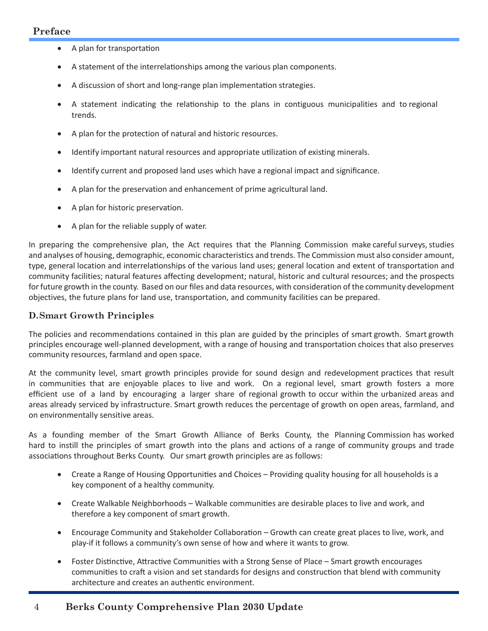#### **Preface**

- A plan for transportation
- A statement of the interrelationships among the various plan components.
- A discussion of short and long-range plan implementation strategies.
- • A statement indicating the relationship to the plans in contiguous municipalities and to regional trends.
- A plan for the protection of natural and historic resources.
- Identify important natural resources and appropriate utilization of existing minerals.
- Identify current and proposed land uses which have a regional impact and significance.
- A plan for the preservation and enhancement of prime agricultural land.
- A plan for historic preservation.
- A plan for the reliable supply of water.

In preparing the comprehensive plan, the Act requires that the Planning Commission make careful surveys, studies and analyses of housing, demographic, economic characteristics and trends. The Commission must also consider amount, type, general location and interrelationships of the various land uses; general location and extent of transportation and community facilities; natural features affecting development; natural, historic and cultural resources; and the prospects for future growth in the county. Based on our files and data resources, with consideration of the community development objectives, the future plans for land use, transportation, and community facilities can be prepared.

#### **D.Smart Growth Principles**

The policies and recommendations contained in this plan are guided by the principles of smart growth. Smart growth principles encourage well-planned development, with a range of housing and transportation choices that also preserves community resources, farmland and open space.

At the community level, smart growth principles provide for sound design and redevelopment practices that result in communities that are enjoyable places to live and work. On a regional level, smart growth fosters a more efficient use of a land by encouraging a larger share of regional growth to occur within the urbanized areas and areas already serviced by infrastructure. Smart growth reduces the percentage of growth on open areas, farmland, and on environmentally sensitive areas.

As a founding member of the Smart Growth Alliance of Berks County, the Planning Commission has worked hard to instill the principles of smart growth into the plans and actions of a range of community groups and trade associations throughout Berks County. Our smart growth principles are as follows:

- Create a Range of Housing Opportunities and Choices Providing quality housing for all households is a key component of a healthy community.
- Create Walkable Neighborhoods Walkable communities are desirable places to live and work, and therefore a key component of smart growth.
- Encourage Community and Stakeholder Collaboration Growth can create great places to live, work, and play-if it follows a community's own sense of how and where it wants to grow.
- Foster Distinctive, Attractive Communities with a Strong Sense of Place Smart growth encourages communities to craft a vision and set standards for designs and construction that blend with community architecture and creates an authentic environment.

## 4 **Berks County Comprehensive Plan 2030 Update**